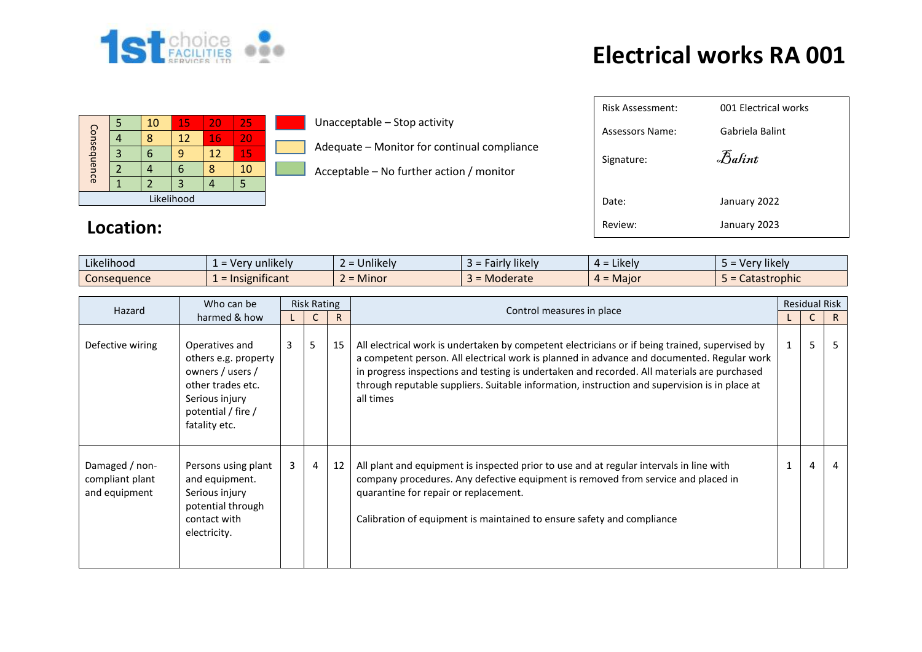

## **Electrical works RA 001**

| Consequence |   | 10 | 15 | 20 | 25 |  |  |  |
|-------------|---|----|----|----|----|--|--|--|
|             |   |    | 12 | 16 | 20 |  |  |  |
|             | 3 | h  |    | 12 | 15 |  |  |  |
|             |   |    |    |    | 10 |  |  |  |
|             |   |    |    |    |    |  |  |  |
| Likelihood  |   |    |    |    |    |  |  |  |

## **Location:**

**Unacceptable – Stop activity** 

- Adequate Monitor for continual compliance
- Acceptable No further action / monitor

| <b>Risk Assessment:</b> | 001 Electrical works |
|-------------------------|----------------------|
| Assessors Name:         | Gabriela Balint      |
| Signature:              | Balint               |
| Date:                   | January 2022         |
| Review:                 | January 2023         |

| .<br>.<br>Likelihood | <br>unlikely<br>$\sim$ . $\sim$ .<br>n v<br>ີ | $\cdots$<br>Jnlikely              | $\cdots$<br>likely<br>-air | $\epsilon$ = Likely $\epsilon$<br><u>д =</u> | $\cdots$<br>Very likely |
|----------------------|-----------------------------------------------|-----------------------------------|----------------------------|----------------------------------------------|-------------------------|
| Consequence          | ficant<br>: Insign                            | Minor<br>$\overline{\phantom{0}}$ | Moderate                   | $=$ Maior<br>л.                              | Catastrophic            |

| Hazard                                             | Who can be                                                                                                                               | <b>Risk Rating</b> |                |    | Control measures in place                                                                                                                                                                                                                                                                                                                                                                                 |  | <b>Residual Risk</b> |    |
|----------------------------------------------------|------------------------------------------------------------------------------------------------------------------------------------------|--------------------|----------------|----|-----------------------------------------------------------------------------------------------------------------------------------------------------------------------------------------------------------------------------------------------------------------------------------------------------------------------------------------------------------------------------------------------------------|--|----------------------|----|
|                                                    | harmed & how                                                                                                                             |                    |                | R. |                                                                                                                                                                                                                                                                                                                                                                                                           |  |                      | R  |
| Defective wiring                                   | Operatives and<br>others e.g. property<br>owners / users /<br>other trades etc.<br>Serious injury<br>potential / fire /<br>fatality etc. | $\mathbf{3}$       | 5              | 15 | All electrical work is undertaken by competent electricians or if being trained, supervised by<br>a competent person. All electrical work is planned in advance and documented. Regular work<br>in progress inspections and testing is undertaken and recorded. All materials are purchased<br>through reputable suppliers. Suitable information, instruction and supervision is in place at<br>all times |  | 5                    | .5 |
| Damaged / non-<br>compliant plant<br>and equipment | Persons using plant<br>and equipment.<br>Serious injury<br>potential through<br>contact with<br>electricity.                             | 3                  | $\overline{4}$ | 12 | All plant and equipment is inspected prior to use and at regular intervals in line with<br>company procedures. Any defective equipment is removed from service and placed in<br>quarantine for repair or replacement.<br>Calibration of equipment is maintained to ensure safety and compliance                                                                                                           |  | 4                    | 4  |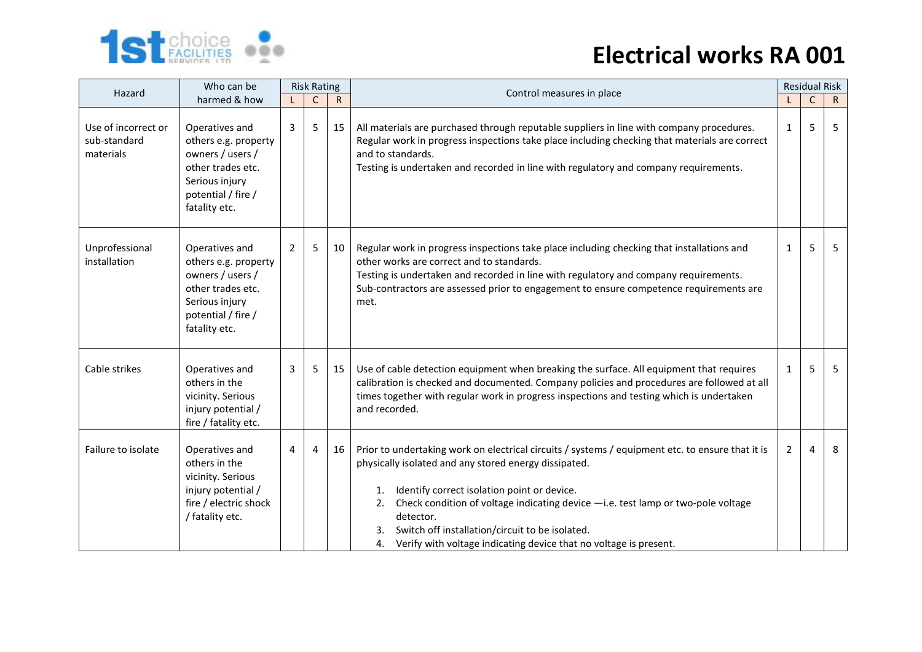

## **Electrical works RA 001**

| Hazard                                           | Who can be                                                                                                                               |   | <b>Risk Rating</b> |              | Control measures in place                                                                                                                                                                                                                                                                                                                                                                                                                           | <b>Residual Risk</b> |             |              |  |
|--------------------------------------------------|------------------------------------------------------------------------------------------------------------------------------------------|---|--------------------|--------------|-----------------------------------------------------------------------------------------------------------------------------------------------------------------------------------------------------------------------------------------------------------------------------------------------------------------------------------------------------------------------------------------------------------------------------------------------------|----------------------|-------------|--------------|--|
|                                                  | harmed & how                                                                                                                             |   | $\mathsf{C}$       | $\mathsf{R}$ |                                                                                                                                                                                                                                                                                                                                                                                                                                                     |                      | $\mathsf C$ | $\mathsf{R}$ |  |
| Use of incorrect or<br>sub-standard<br>materials | Operatives and<br>others e.g. property<br>owners / users /<br>other trades etc.<br>Serious injury<br>potential / fire /<br>fatality etc. | 3 | 5                  | 15           | All materials are purchased through reputable suppliers in line with company procedures.<br>Regular work in progress inspections take place including checking that materials are correct<br>and to standards.<br>Testing is undertaken and recorded in line with regulatory and company requirements.                                                                                                                                              | $\mathbf{1}$         | 5           | 5            |  |
| Unprofessional<br>installation                   | Operatives and<br>others e.g. property<br>owners / users /<br>other trades etc.<br>Serious injury<br>potential / fire /<br>fatality etc. | 2 | 5                  | 10           | Regular work in progress inspections take place including checking that installations and<br>other works are correct and to standards.<br>Testing is undertaken and recorded in line with regulatory and company requirements.<br>Sub-contractors are assessed prior to engagement to ensure competence requirements are<br>met.                                                                                                                    | $\mathbf{1}$         | 5           | 5            |  |
| Cable strikes                                    | Operatives and<br>others in the<br>vicinity. Serious<br>injury potential /<br>fire / fatality etc.                                       | 3 | 5                  | 15           | Use of cable detection equipment when breaking the surface. All equipment that requires<br>calibration is checked and documented. Company policies and procedures are followed at all<br>times together with regular work in progress inspections and testing which is undertaken<br>and recorded.                                                                                                                                                  | 1                    | 5           | 5            |  |
| Failure to isolate                               | Operatives and<br>others in the<br>vicinity. Serious<br>injury potential /<br>fire / electric shock<br>/ fatality etc.                   | 4 | 4                  | 16           | Prior to undertaking work on electrical circuits / systems / equipment etc. to ensure that it is<br>physically isolated and any stored energy dissipated.<br>Identify correct isolation point or device.<br>1.<br>Check condition of voltage indicating device -i.e. test lamp or two-pole voltage<br>2.<br>detector.<br>Switch off installation/circuit to be isolated.<br>Verify with voltage indicating device that no voltage is present.<br>4. | $\overline{2}$       | 4           | 8            |  |